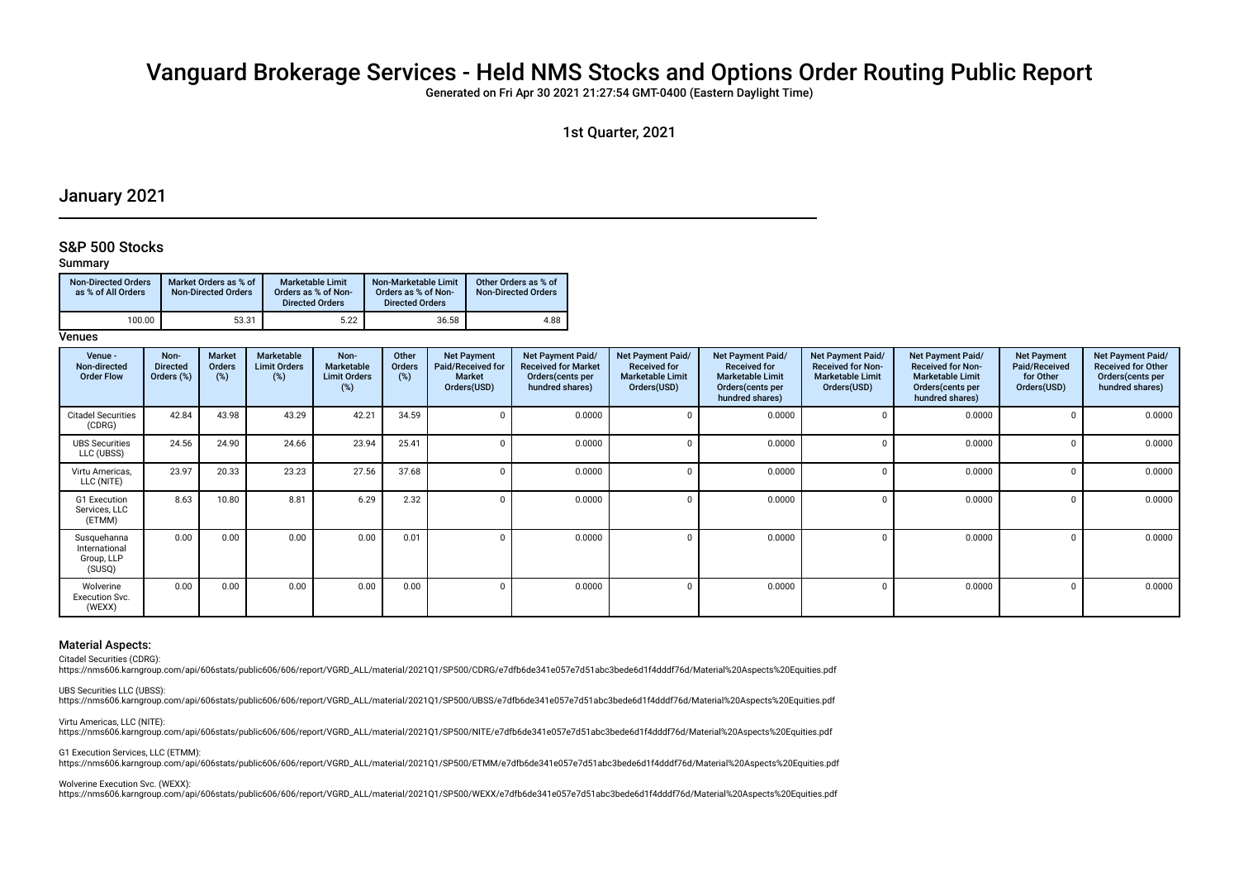# Vanguard Brokerage Services - Held NMS Stocks and Options Order Routing Public Report

Generated on Fri Apr 30 2021 21:27:54 GMT-0400 (Eastern Daylight Time)

1st Quarter, 2021

# January 2021

### S&P 500 Stocks

#### Summary

| <b>Non-Directed Orders</b><br>as % of All Orders | Market Orders as % of<br><b>Non-Directed Orders</b> | <b>Marketable Limit</b><br>Orders as % of Non-<br><b>Directed Orders</b> | Non-Marketable Limit<br>Orders as % of Non-<br><b>Directed Orders</b> | Other Orders as % of<br><b>Non-Directed Orders</b> |
|--------------------------------------------------|-----------------------------------------------------|--------------------------------------------------------------------------|-----------------------------------------------------------------------|----------------------------------------------------|
| 100.00                                           | 53.31                                               | 5.22                                                                     | 36.58                                                                 | 4.88                                               |

#### **Venues**

| Venue -<br>Non-directed<br><b>Order Flow</b>         | Non-<br><b>Directed</b><br>Orders (%) | Market<br><b>Orders</b><br>$(\%)$ | Marketable<br><b>Limit Orders</b><br>(%) | Non-<br>Marketable<br><b>Limit Orders</b><br>(%) | Other<br>Orders<br>(%) | <b>Net Payment</b><br>Paid/Received for<br><b>Market</b><br>Orders(USD) | Net Payment Paid/<br><b>Received for Market</b><br>Orders (cents per<br>hundred shares) | Net Payment Paid/<br><b>Received for</b><br><b>Marketable Limit</b><br>Orders(USD) | <b>Net Payment Paid/</b><br><b>Received for</b><br><b>Marketable Limit</b><br>Orders (cents per<br>hundred shares) | Net Payment Paid/<br><b>Received for Non-</b><br><b>Marketable Limit</b><br>Orders(USD) | <b>Net Payment Paid/</b><br><b>Received for Non-</b><br><b>Marketable Limit</b><br>Orders (cents per<br>hundred shares) | <b>Net Payment</b><br>Paid/Received<br>for Other<br>Orders(USD) | Net Payment Paid/<br><b>Received for Other</b><br>Orders(cents per<br>hundred shares) |
|------------------------------------------------------|---------------------------------------|-----------------------------------|------------------------------------------|--------------------------------------------------|------------------------|-------------------------------------------------------------------------|-----------------------------------------------------------------------------------------|------------------------------------------------------------------------------------|--------------------------------------------------------------------------------------------------------------------|-----------------------------------------------------------------------------------------|-------------------------------------------------------------------------------------------------------------------------|-----------------------------------------------------------------|---------------------------------------------------------------------------------------|
| <b>Citadel Securities</b><br>(CDRG)                  | 42.84                                 | 43.98                             | 43.29                                    | 42.21                                            | 34.59                  | $\Omega$                                                                | 0.0000                                                                                  | $\Omega$                                                                           | 0.0000                                                                                                             | $\Omega$                                                                                | 0.0000                                                                                                                  |                                                                 | 0.0000                                                                                |
| <b>UBS Securities</b><br>LLC (UBSS)                  | 24.56                                 | 24.90                             | 24.66                                    | 23.94                                            | 25.41                  | $\Omega$                                                                | 0.0000                                                                                  | $\Omega$                                                                           | 0.0000                                                                                                             | $\Omega$                                                                                | 0.0000                                                                                                                  | $\Omega$                                                        | 0.0000                                                                                |
| Virtu Americas,<br>LLC (NITE)                        | 23.97                                 | 20.33                             | 23.23                                    | 27.56                                            | 37.68                  | $\Omega$                                                                | 0.0000                                                                                  | $\Omega$                                                                           | 0.0000                                                                                                             | $\Omega$                                                                                | 0.0000                                                                                                                  | $\Omega$                                                        | 0.0000                                                                                |
| G1 Execution<br>Services, LLC<br>(ETMM)              | 8.63                                  | 10.80                             | 8.81                                     | 6.29                                             | 2.32                   | $\Omega$                                                                | 0.0000                                                                                  | $\Omega$                                                                           | 0.0000                                                                                                             | $\Omega$                                                                                | 0.0000                                                                                                                  | $\Omega$                                                        | 0.0000                                                                                |
| Susquehanna<br>International<br>Group, LLP<br>(SUSQ) | 0.00                                  | 0.00                              | 0.00                                     | 0.00                                             | 0.01                   | $\Omega$                                                                | 0.0000                                                                                  | $\Omega$                                                                           | 0.0000                                                                                                             |                                                                                         | 0.0000                                                                                                                  |                                                                 | 0.0000                                                                                |
| Wolverine<br><b>Execution Svc.</b><br>(WEXX)         | 0.00                                  | 0.00                              | 0.00                                     | 0.00                                             | 0.00                   | $\Omega$                                                                | 0.0000                                                                                  | $\Omega$                                                                           | 0.0000                                                                                                             | $\Omega$                                                                                | 0.0000                                                                                                                  |                                                                 | 0.0000                                                                                |

### Material Aspects:

Citadel Securities (CDRG):

https://nms606.karngroup.com/api/606stats/public606/606/report/VGRD\_ALL/material/2021Q1/SP500/CDRG/e7dfb6de341e057e7d51abc3bede6d1f4dddf76d/Material%20Aspects%20Equities.pdf

UBS Securities LLC (UBSS):

https://nms606.karngroup.com/api/606stats/public606/606/report/VGRD\_ALL/material/2021Q1/SP500/UBSS/e7dfb6de341e057e7d51abc3bede6d1f4dddf76d/Material%20Aspects%20Equities.pdf

Virtu Americas, LLC (NITE): https://nms606.karngroup.com/api/606stats/public606/606/report/VGRD\_ALL/material/2021Q1/SP500/NITE/e7dfb6de341e057e7d51abc3bede6d1f4dddf76d/Material%20Aspects%20Equities.pdf

G1 Execution Services, LLC (ETMM): https://nms606.karngroup.com/api/606stats/public606/606/report/VGRD\_ALL/material/2021Q1/SP500/ETMM/e7dfb6de341e057e7d51abc3bede6d1f4dddf76d/Material%20Aspects%20Equities.pdf

Wolverine Execution Svc. (WEXX):

https://nms606.karngroup.com/api/606stats/public606/606/report/VGRD\_ALL/material/2021Q1/SP500/WEXX/e7dfb6de341e057e7d51abc3bede6d1f4dddf76d/Material%20Aspects%20Equities.pdf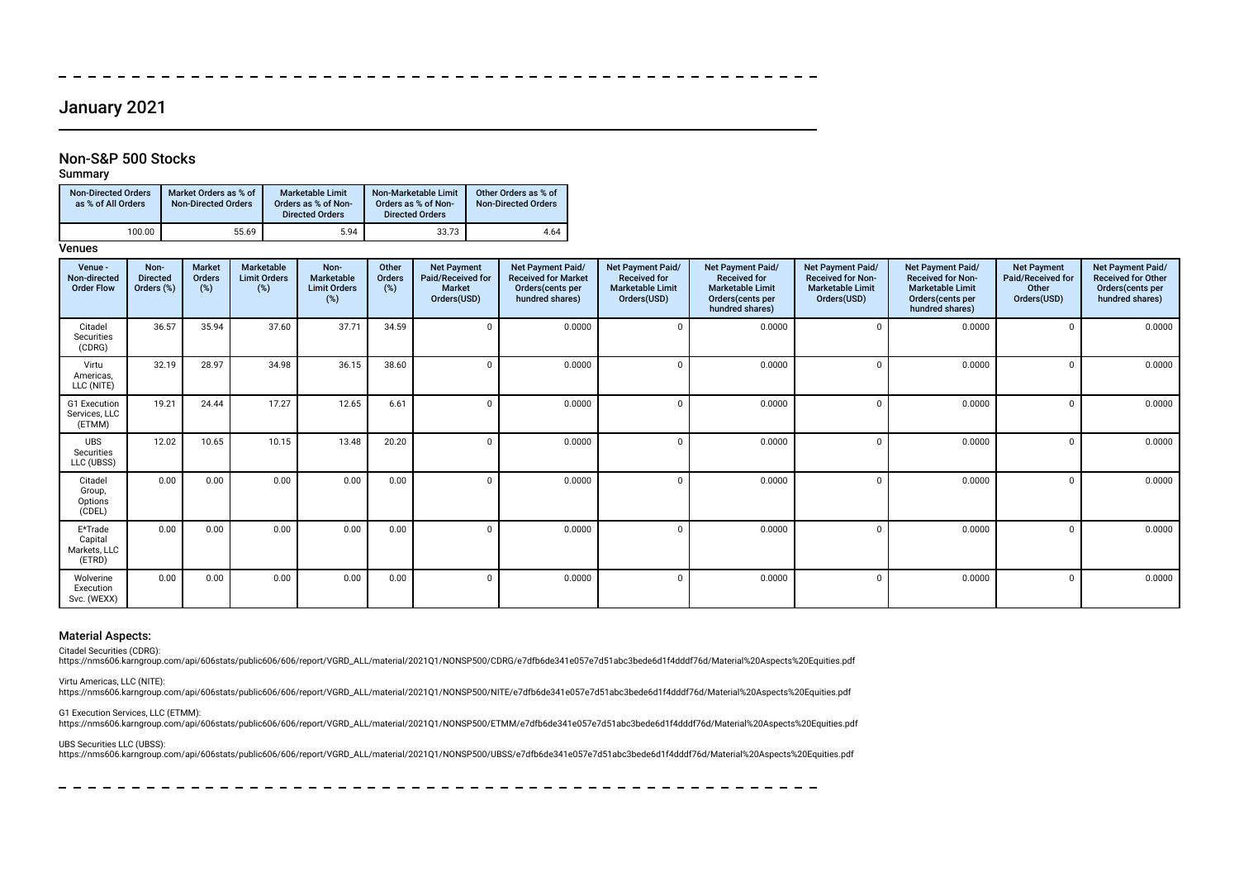# January 2021

## Non-S&P 500 Stocks

Summary

| <b>Non-Directed Orders</b><br>as % of All Orders | Market Orders as % of<br><b>Non-Directed Orders</b> | Marketable Limit<br>Orders as % of Non-<br><b>Directed Orders</b> | Non-Marketable Limit<br>Orders as % of Non-<br><b>Directed Orders</b> | Other Orders as % of<br><b>Non-Directed Orders</b> |
|--------------------------------------------------|-----------------------------------------------------|-------------------------------------------------------------------|-----------------------------------------------------------------------|----------------------------------------------------|
| 100.00                                           | 55.69                                               | 5.94                                                              | 33.73                                                                 | 4.64                                               |

**Venues** 

| Venue -<br>Non-directed<br><b>Order Flow</b> | Non-<br><b>Directed</b><br>Orders (%) | <b>Market</b><br>Orders<br>$(\%)$ | Marketable<br><b>Limit Orders</b><br>(%) | Non-<br>Marketable<br><b>Limit Orders</b><br>$(\%)$ | Other<br>Orders<br>(%) | <b>Net Payment</b><br>Paid/Received for<br><b>Market</b><br>Orders(USD) | Net Payment Paid/<br><b>Received for Market</b><br>Orders(cents per<br>hundred shares) | Net Payment Paid/<br><b>Received for</b><br><b>Marketable Limit</b><br>Orders(USD) | Net Payment Paid/<br><b>Received for</b><br><b>Marketable Limit</b><br>Orders(cents per<br>hundred shares) | Net Payment Paid/<br><b>Received for Non-</b><br><b>Marketable Limit</b><br>Orders(USD) | Net Payment Paid/<br><b>Received for Non-</b><br><b>Marketable Limit</b><br>Orders(cents per<br>hundred shares) | <b>Net Payment</b><br>Paid/Received for<br>Other<br>Orders(USD) | Net Payment Paid/<br><b>Received for Other</b><br>Orders(cents per<br>hundred shares) |
|----------------------------------------------|---------------------------------------|-----------------------------------|------------------------------------------|-----------------------------------------------------|------------------------|-------------------------------------------------------------------------|----------------------------------------------------------------------------------------|------------------------------------------------------------------------------------|------------------------------------------------------------------------------------------------------------|-----------------------------------------------------------------------------------------|-----------------------------------------------------------------------------------------------------------------|-----------------------------------------------------------------|---------------------------------------------------------------------------------------|
| Citadel<br>Securities<br>(CDRG)              | 36.57                                 | 35.94                             | 37.60                                    | 37.71                                               | 34.59                  |                                                                         | 0.0000                                                                                 | $\Omega$                                                                           | 0.0000                                                                                                     | $\Omega$                                                                                | 0.0000                                                                                                          |                                                                 | 0.0000                                                                                |
| Virtu<br>Americas.<br>LLC (NITE)             | 32.19                                 | 28.97                             | 34.98                                    | 36.15                                               | 38.60                  |                                                                         | 0.0000                                                                                 | $\Omega$                                                                           | 0.0000                                                                                                     | $\Omega$                                                                                | 0.0000                                                                                                          |                                                                 | 0.0000                                                                                |
| G1 Execution<br>Services, LLC<br>(ETMM)      | 19.21                                 | 24.44                             | 17.27                                    | 12.65                                               | 6.61                   | $\Omega$                                                                | 0.0000                                                                                 | $\Omega$                                                                           | 0.0000                                                                                                     | $\Omega$                                                                                | 0.0000                                                                                                          |                                                                 | 0.0000                                                                                |
| <b>UBS</b><br>Securities<br>LLC (UBSS)       | 12.02                                 | 10.65                             | 10.15                                    | 13.48                                               | 20.20                  | $\Omega$                                                                | 0.0000                                                                                 | $\Omega$                                                                           | 0.0000                                                                                                     | $\Omega$                                                                                | 0.0000                                                                                                          |                                                                 | 0.0000                                                                                |
| Citadel<br>Group,<br>Options<br>(CDEL)       | 0.00                                  | 0.00                              | 0.00                                     | 0.00                                                | 0.00                   | $\Omega$                                                                | 0.0000                                                                                 | $\Omega$                                                                           | 0.0000                                                                                                     | $\Omega$                                                                                | 0.0000                                                                                                          |                                                                 | 0.0000                                                                                |
| E*Trade<br>Capital<br>Markets, LLC<br>(ETRD) | 0.00                                  | 0.00                              | 0.00                                     | 0.00                                                | 0.00                   | $\Omega$                                                                | 0.0000                                                                                 | $\Omega$                                                                           | 0.0000                                                                                                     | $\Omega$                                                                                | 0.0000                                                                                                          |                                                                 | 0.0000                                                                                |
| Wolverine<br>Execution<br>Svc. (WEXX)        | 0.00                                  | 0.00                              | 0.00                                     | 0.00                                                | 0.00                   |                                                                         | 0.0000                                                                                 | n                                                                                  | 0.0000                                                                                                     |                                                                                         | 0.0000                                                                                                          |                                                                 | 0.0000                                                                                |

#### Material Aspects:

Citadel Securities (CDRG):

https://nms606.karngroup.com/api/606stats/public606/606/report/VGRD\_ALL/material/2021Q1/NONSP500/CDRG/e7dfb6de341e057e7d51abc3bede6d1f4dddf76d/Material%20Aspects%20Equities.pdf

Virtu Americas, LLC (NITE):

https://nms606.karngroup.com/api/606stats/public606/606/report/VGRD\_ALL/material/2021Q1/NONSP500/NITE/e7dfb6de341e057e7d51abc3bede6d1f4dddf76d/Material%20Aspects%20Equities.pdf

G1 Execution Services, LLC (ETMM): https://nms606.karngroup.com/api/606stats/public606/606/report/VGRD\_ALL/material/2021Q1/NONSP500/ETMM/e7dfb6de341e057e7d51abc3bede6d1f4dddf76d/Material%20Aspects%20Equities.pdf

UBS Securities LLC (UBSS):

https://nms606.karngroup.com/api/606stats/public606/606/report/VGRD\_ALL/material/2021Q1/NONSP500/UBSS/e7dfb6de341e057e7d51abc3bede6d1f4dddf76d/Material%20Aspects%20Equities.pdf

 $\frac{1}{2}$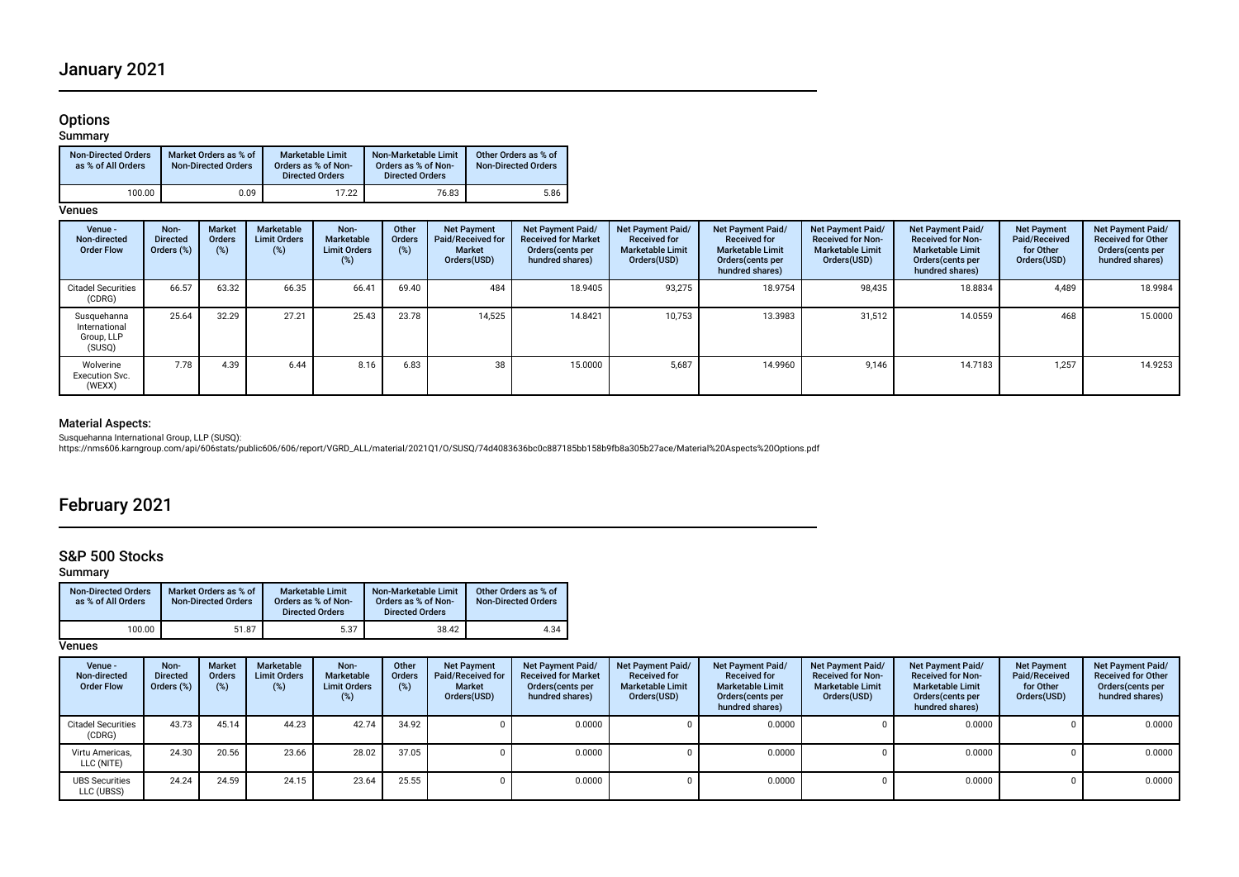# Options

### Summary

| <b>Non-Directed Orders</b><br>as % of All Orders | Market Orders as % of<br><b>Non-Directed Orders</b> | <b>Marketable Limit</b><br>Orders as % of Non-<br><b>Directed Orders</b> | Non-Marketable Limit<br>Orders as % of Non-<br><b>Directed Orders</b> | Other Orders as % of<br><b>Non-Directed Orders</b> |
|--------------------------------------------------|-----------------------------------------------------|--------------------------------------------------------------------------|-----------------------------------------------------------------------|----------------------------------------------------|
| 100.00                                           | 0.09                                                | 17.22                                                                    | 76.83                                                                 | 5.86                                               |

# **Venues**

| Venue -<br>Non-directed<br><b>Order Flow</b>         | Non-<br><b>Directed</b><br>Orders (%) | <b>Market</b><br>Orders<br>$(\%)$ | Marketable<br><b>Limit Orders</b><br>(%) | Non-<br>Marketable<br><b>Limit Orders</b><br>(%) | Other<br><b>Orders</b><br>$(\%)$ | <b>Net Payment</b><br>Paid/Received for<br><b>Market</b><br>Orders(USD) | Net Payment Paid/<br><b>Received for Market</b><br>Orders (cents per<br>hundred shares) | Net Payment Paid/<br><b>Received for</b><br><b>Marketable Limit</b><br>Orders(USD) | Net Payment Paid/<br><b>Received for</b><br><b>Marketable Limit</b><br>Orders (cents per<br>hundred shares) | Net Payment Paid/<br><b>Received for Non-</b><br><b>Marketable Limit</b><br>Orders(USD) | Net Payment Paid/<br><b>Received for Non-</b><br><b>Marketable Limit</b><br>Orders (cents per<br>hundred shares) | <b>Net Payment</b><br>Paid/Received<br>for Other<br>Orders(USD) | Net Payment Paid/<br><b>Received for Other</b><br>Orders(cents per<br>hundred shares) |
|------------------------------------------------------|---------------------------------------|-----------------------------------|------------------------------------------|--------------------------------------------------|----------------------------------|-------------------------------------------------------------------------|-----------------------------------------------------------------------------------------|------------------------------------------------------------------------------------|-------------------------------------------------------------------------------------------------------------|-----------------------------------------------------------------------------------------|------------------------------------------------------------------------------------------------------------------|-----------------------------------------------------------------|---------------------------------------------------------------------------------------|
| <b>Citadel Securities</b><br>(CDRG)                  | 66.57                                 | 63.32                             | 66.35                                    | 66.41                                            | 69.40                            | 484                                                                     | 18.9405                                                                                 | 93,275                                                                             | 18.9754                                                                                                     | 98,435                                                                                  | 18.8834                                                                                                          | 4.489                                                           | 18.9984                                                                               |
| Susquehanna<br>International<br>Group, LLP<br>(SUSQ) | 25.64                                 | 32.29                             | 27.21                                    | 25.43                                            | 23.78                            | 14.525                                                                  | 14.8421                                                                                 | 10.753                                                                             | 13.3983                                                                                                     | 31,512                                                                                  | 14.0559                                                                                                          | 468                                                             | 15.0000                                                                               |
| Wolverine<br><b>Execution Svc.</b><br>(WEXX)         | 7.78                                  | 4.39                              | 6.44                                     | 8.16                                             | 6.83                             | 38                                                                      | 15.0000                                                                                 | 5.687                                                                              | 14.9960                                                                                                     | 9,146                                                                                   | 14.7183                                                                                                          | 1.257                                                           | 14.9253                                                                               |

## Material Aspects:

Susquehanna International Group, LLP (SUSQ):<br>https://nms606.karngroup.com/api/606stats/public606/606/report/VGRD\_ALL/material/2021Q1/O/SUSQ/74d4083636bc0c887185bb158b9fb8a305b27ace/Material%20Aspects%20Options.pdf

# February 2021

# S&P 500 Stocks

## Summary

| <b>Non-Directed Orders</b><br>as % of All Orders | Market Orders as % of<br><b>Non-Directed Orders</b> | <b>Marketable Limit</b><br>Orders as % of Non-<br><b>Directed Orders</b> | Non-Marketable Limit<br>Orders as % of Non-<br><b>Directed Orders</b> | Other Orders as % of<br><b>Non-Directed Orders</b> |
|--------------------------------------------------|-----------------------------------------------------|--------------------------------------------------------------------------|-----------------------------------------------------------------------|----------------------------------------------------|
| 100.00                                           | 51.87                                               | 5.37                                                                     | 38.42                                                                 | 4.34                                               |

## **Venues**

| Venue -<br>Non-directed<br><b>Order Flow</b> | Non-<br><b>Directed</b><br>Orders (%) | <b>Market</b><br><b>Orders</b><br>$(\%)$ | Marketable<br><b>Limit Orders</b><br>(%) | Non-<br>Marketable<br><b>Limit Orders</b><br>(%) | Other<br><b>Orders</b><br>$(\%)$ | <b>Net Payment</b><br>Paid/Received for<br><b>Market</b><br>Orders(USD) | <b>Net Payment Paid/</b><br><b>Received for Market</b><br>Orders (cents per<br>hundred shares) | Net Payment Paid/<br><b>Received for</b><br><b>Marketable Limit</b><br>Orders(USD) | Net Payment Paid/<br><b>Received for</b><br><b>Marketable Limit</b><br>Orders (cents per<br>hundred shares) | <b>Net Payment Paid/</b><br><b>Received for Non-</b><br><b>Marketable Limit</b><br>Orders(USD) | Net Payment Paid/<br><b>Received for Non-</b><br><b>Marketable Limit</b><br>Orders (cents per<br>hundred shares) | <b>Net Payment</b><br>Paid/Received<br>for Other<br>Orders(USD) | Net Payment Paid/<br><b>Received for Other</b><br>Orders(cents per<br>hundred shares) |
|----------------------------------------------|---------------------------------------|------------------------------------------|------------------------------------------|--------------------------------------------------|----------------------------------|-------------------------------------------------------------------------|------------------------------------------------------------------------------------------------|------------------------------------------------------------------------------------|-------------------------------------------------------------------------------------------------------------|------------------------------------------------------------------------------------------------|------------------------------------------------------------------------------------------------------------------|-----------------------------------------------------------------|---------------------------------------------------------------------------------------|
| <b>Citadel Securities</b><br>(CDRG)          | 43.73                                 | 45.14                                    | 44.23                                    | 42.74                                            | 34.92                            |                                                                         | 0.0000                                                                                         |                                                                                    | 0.0000                                                                                                      |                                                                                                | 0.0000                                                                                                           |                                                                 | 0.0000                                                                                |
| Virtu Americas.<br>LLC (NITE)                | 24.30                                 | 20.56                                    | 23.66                                    | 28.02                                            | 37.05                            |                                                                         | 0.0000                                                                                         |                                                                                    | 0.0000                                                                                                      |                                                                                                | 0.0000                                                                                                           |                                                                 | 0.0000                                                                                |
| <b>UBS Securities</b><br>LLC (UBSS)          | 24.24                                 | 24.59                                    | 24.15                                    | 23.64                                            | 25.55                            |                                                                         | 0.0000                                                                                         |                                                                                    | 0.0000                                                                                                      |                                                                                                | 0.0000                                                                                                           |                                                                 | 0.0000                                                                                |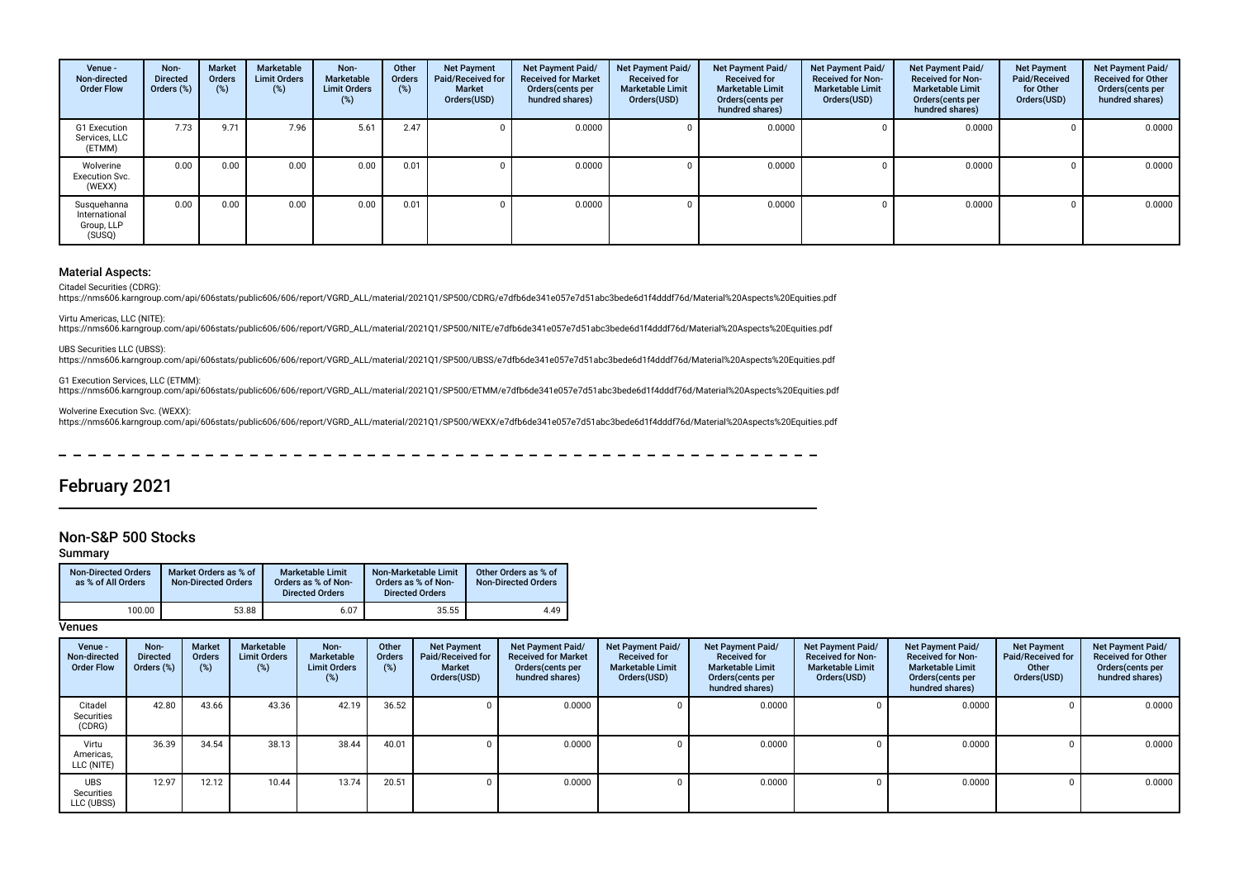| Venue -<br>Non-directed<br><b>Order Flow</b>         | Non-<br><b>Directed</b><br>Orders (%) | <b>Market</b><br><b>Orders</b><br>(%) | Marketable<br><b>Limit Orders</b><br>(%) | Non-<br>Marketable<br><b>Limit Orders</b><br>(%) | Other<br>Orders<br>(%) | <b>Net Payment</b><br>Paid/Received for<br>Market<br>Orders(USD) | <b>Net Payment Paid/</b><br><b>Received for Market</b><br>Orders (cents per<br>hundred shares) | <b>Net Payment Paid/</b><br><b>Received for</b><br><b>Marketable Limit</b><br>Orders(USD) | Net Payment Paid/<br><b>Received for</b><br><b>Marketable Limit</b><br>Orders (cents per<br>hundred shares) | Net Payment Paid/<br><b>Received for Non-</b><br><b>Marketable Limit</b><br>Orders(USD) | Net Payment Paid/<br><b>Received for Non-</b><br><b>Marketable Limit</b><br>Orders(cents per<br>hundred shares) | <b>Net Payment</b><br>Paid/Received<br>for Other<br>Orders(USD) | Net Payment Paid/<br><b>Received for Other</b><br>Orders(cents per<br>hundred shares) |
|------------------------------------------------------|---------------------------------------|---------------------------------------|------------------------------------------|--------------------------------------------------|------------------------|------------------------------------------------------------------|------------------------------------------------------------------------------------------------|-------------------------------------------------------------------------------------------|-------------------------------------------------------------------------------------------------------------|-----------------------------------------------------------------------------------------|-----------------------------------------------------------------------------------------------------------------|-----------------------------------------------------------------|---------------------------------------------------------------------------------------|
| G1 Execution<br>Services, LLC<br>(ETMM)              | 7.73                                  | 9.71                                  | 7.96                                     | 5.61                                             | 2.47                   |                                                                  | 0.0000                                                                                         |                                                                                           | 0.0000                                                                                                      |                                                                                         | 0.0000                                                                                                          |                                                                 | 0.0000                                                                                |
| Wolverine<br><b>Execution Svc.</b><br>(WEXX)         | 0.00                                  | 0.00                                  | 0.00                                     | 0.00                                             | 0.01                   |                                                                  | 0.0000                                                                                         |                                                                                           | 0.0000                                                                                                      |                                                                                         | 0.0000                                                                                                          |                                                                 | 0.0000                                                                                |
| Susquehanna<br>International<br>Group, LLP<br>(SUSQ) | 0.00                                  | 0.00                                  | 0.00                                     | 0.00                                             | 0.01                   |                                                                  | 0.0000                                                                                         |                                                                                           | 0.0000                                                                                                      |                                                                                         | 0.0000                                                                                                          |                                                                 | 0.0000                                                                                |

### Material Aspects:

Citadel Securities (CDRG):

https://nms606.karngroup.com/api/606stats/public606/606/report/VGRD\_ALL/material/2021Q1/SP500/CDRG/e7dfb6de341e057e7d51abc3bede6d1f4dddf76d/Material%20Aspects%20Equities.pdf

Virtu Americas, LLC (NITE): https://nms606.karngroup.com/api/606stats/public606/606/report/VGRD\_ALL/material/2021Q1/SP500/NITE/e7dfb6de341e057e7d51abc3bede6d1f4dddf76d/Material%20Aspects%20Equities.pdf

UBS Securities LLC (UBSS):

https://nms606.karngroup.com/api/606stats/public606/606/report/VGRD\_ALL/material/2021Q1/SP500/UBSS/e7dfb6de341e057e7d51abc3bede6d1f4dddf76d/Material%20Aspects%20Equities.pdf

G1 Execution Services, LLC (ETMM):<br>https://nms606.karngroup.com/api/606stats/public606/606/report/VGRD\_ALL/material/2021Q1/SP500/ETMM/e7dfb6de341e057e7d51abc3bede6d1f4dddf76d/Material%20Aspects%20Equities.pdf

Wolverine Execution Svc. (WEXX): https://nms606.karngroup.com/api/606stats/public606/606/report/VGRD\_ALL/material/2021Q1/SP500/WEXX/e7dfb6de341e057e7d51abc3bede6d1f4dddf76d/Material%20Aspects%20Equities.pdf

# February 2021

## Non-S&P 500 Stocks

Summary

| <b>Non-Directed Orders</b><br>as % of All Orders | Market Orders as % of<br><b>Non-Directed Orders</b> | <b>Marketable Limit</b><br>Orders as % of Non-<br><b>Directed Orders</b> | Non-Marketable Limit<br>Orders as % of Non-<br><b>Directed Orders</b> | Other Orders as % of<br><b>Non-Directed Orders</b> |
|--------------------------------------------------|-----------------------------------------------------|--------------------------------------------------------------------------|-----------------------------------------------------------------------|----------------------------------------------------|
| 100.00                                           | 53.88                                               | 6.07                                                                     | 35.55                                                                 | 4.49                                               |

**Venues** 

| Venue -<br>Non-directed<br><b>Order Flow</b> | Non-<br><b>Directed</b><br>Orders (%) | <b>Market</b><br>Orders<br>(%) | Marketable<br><b>Limit Orders</b><br>$(\%)$ | Non-<br>Marketable<br><b>Limit Orders</b><br>$(\%)$ | Other<br>Orders<br>$(\%)$ | <b>Net Payment</b><br>Paid/Received for<br><b>Market</b><br>Orders(USD) | Net Payment Paid/<br><b>Received for Market</b><br>Orders (cents per<br>hundred shares) | Net Payment Paid/<br><b>Received for</b><br><b>Marketable Limit</b><br>Orders(USD) | Net Payment Paid/<br><b>Received for</b><br><b>Marketable Limit</b><br>Orders (cents per<br>hundred shares) | <b>Net Payment Paid/</b><br><b>Received for Non-</b><br><b>Marketable Limit</b><br>Orders(USD) | Net Payment Paid/<br><b>Received for Non-</b><br><b>Marketable Limit</b><br>Orders (cents per<br>hundred shares) | <b>Net Payment</b><br>Paid/Received for<br>Other<br>Orders(USD) | Net Payment Paid/<br><b>Received for Other</b><br>Orders(cents per<br>hundred shares) |
|----------------------------------------------|---------------------------------------|--------------------------------|---------------------------------------------|-----------------------------------------------------|---------------------------|-------------------------------------------------------------------------|-----------------------------------------------------------------------------------------|------------------------------------------------------------------------------------|-------------------------------------------------------------------------------------------------------------|------------------------------------------------------------------------------------------------|------------------------------------------------------------------------------------------------------------------|-----------------------------------------------------------------|---------------------------------------------------------------------------------------|
| Citadel<br>Securities<br>(CDRG)              | 42.80                                 | 43.66                          | 43.36                                       | 42.19                                               | 36.52                     |                                                                         | 0.0000                                                                                  |                                                                                    | 0.0000                                                                                                      |                                                                                                | 0.0000                                                                                                           |                                                                 | 0.0000                                                                                |
| Virtu<br>Americas,<br>LLC (NITE)             | 36.39                                 | 34.54                          | 38.13                                       | 38.44                                               | 40.01                     |                                                                         | 0.0000                                                                                  |                                                                                    | 0.0000                                                                                                      |                                                                                                | 0.0000                                                                                                           |                                                                 | 0.0000                                                                                |
| <b>UBS</b><br>Securities<br>LLC (UBSS)       | 12.97                                 | 12.12                          | 10.44                                       | 13.74                                               | 20.51                     |                                                                         | 0.0000                                                                                  |                                                                                    | 0.0000                                                                                                      |                                                                                                | 0.0000                                                                                                           |                                                                 | 0.0000                                                                                |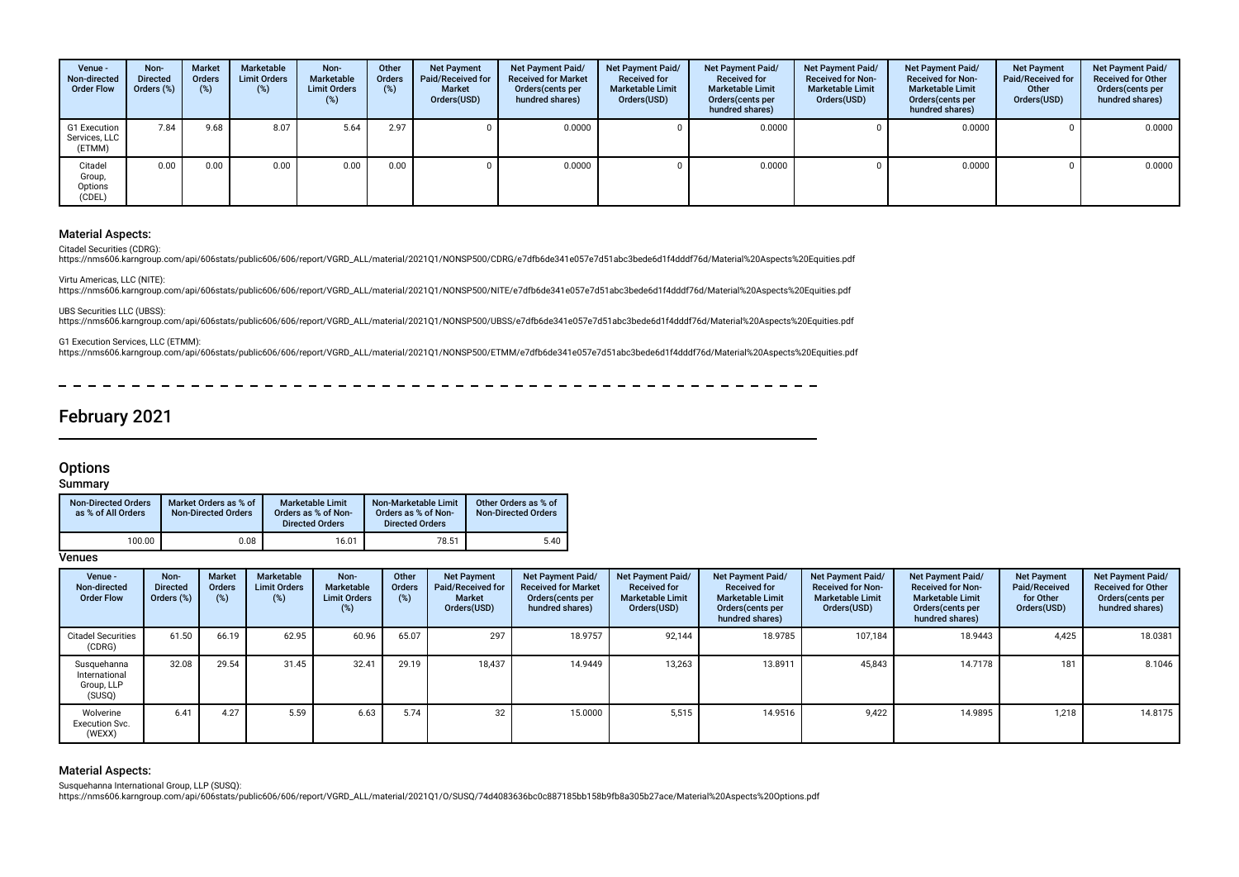| Venue -<br>Non-directed<br><b>Order Flow</b> | Non-<br><b>Directed</b><br>Orders (%) | <b>Market</b><br>Orders<br>$\frac{1}{2}$ | Marketable<br><b>Limit Orders</b><br>(%) | Non-<br>Marketable<br><b>Limit Orders</b><br>$(\%)$ | Other<br>Orders<br>(%) | <b>Net Payment</b><br>Paid/Received for<br><b>Market</b><br>Orders(USD) | Net Payment Paid/<br><b>Received for Market</b><br>Orders (cents per<br>hundred shares) | Net Payment Paid/<br><b>Received for</b><br><b>Marketable Limit</b><br>Orders(USD) | Net Payment Paid/<br><b>Received for</b><br><b>Marketable Limit</b><br>Orders (cents per<br>hundred shares) | Net Payment Paid/<br><b>Received for Non-</b><br><b>Marketable Limit</b><br>Orders(USD) | Net Payment Paid/<br><b>Received for Non-</b><br><b>Marketable Limit</b><br>Orders(cents per<br>hundred shares) | <b>Net Payment</b><br>Paid/Received for<br>Other<br>Orders(USD) | Net Payment Paid/<br><b>Received for Other</b><br>Orders (cents per<br>hundred shares) |
|----------------------------------------------|---------------------------------------|------------------------------------------|------------------------------------------|-----------------------------------------------------|------------------------|-------------------------------------------------------------------------|-----------------------------------------------------------------------------------------|------------------------------------------------------------------------------------|-------------------------------------------------------------------------------------------------------------|-----------------------------------------------------------------------------------------|-----------------------------------------------------------------------------------------------------------------|-----------------------------------------------------------------|----------------------------------------------------------------------------------------|
| G1 Execution<br>Services, LLC<br>(ETMM)      | 7.84                                  | 9.68                                     | 8.07                                     | 5.64                                                | 2.97                   |                                                                         | 0.0000                                                                                  |                                                                                    | 0.0000                                                                                                      |                                                                                         | 0.0000                                                                                                          |                                                                 | 0.0000                                                                                 |
| Citadel<br>Group,<br>Options<br>(CDEL)       | 0.00                                  | 0.00                                     | 0.00                                     | 0.00                                                | 0.00                   |                                                                         | 0.0000                                                                                  |                                                                                    | 0.0000                                                                                                      |                                                                                         | 0.0000                                                                                                          |                                                                 | 0.0000                                                                                 |

#### Material Aspects:

Citadel Securities (CDRG):

https://nms606.karngroup.com/api/606stats/public606/606/report/VGRD\_ALL/material/2021Q1/NONSP500/CDRG/e7dfb6de341e057e7d51abc3bede6d1f4dddf76d/Material%20Aspects%20Equities.pdf

Virtu Americas, LLC (NITE): https://nms606.karngroup.com/api/606stats/public606/606/report/VGRD\_ALL/material/2021Q1/NONSP500/NITE/e7dfb6de341e057e7d51abc3bede6d1f4dddf76d/Material%20Aspects%20Equities.pdf

UBS Securities LLC (UBSS):

https://nms606.karngroup.com/api/606stats/public606/606/report/VGRD\_ALL/material/2021Q1/NONSP500/UBSS/e7dfb6de341e057e7d51abc3bede6d1f4dddf76d/Material%20Aspects%20Equities.pdf

G1 Execution Services, LLC (ETMM):

https://nms606.karngroup.com/api/606stats/public606/606/report/VGRD\_ALL/material/2021Q1/NONSP500/ETMM/e7dfb6de341e057e7d51abc3bede6d1f4dddf76d/Material%20Aspects%20Equities.pdf

# February 2021

### **Options**

### **Summary**

| <b>Non-Directed Orders</b><br>as % of All Orders | Market Orders as % of<br><b>Non-Directed Orders</b> | <b>Marketable Limit</b><br>Orders as % of Non-<br><b>Directed Orders</b> | Non-Marketable Limit<br>Orders as % of Non-<br><b>Directed Orders</b> | Other Orders as % of<br><b>Non-Directed Orders</b> |
|--------------------------------------------------|-----------------------------------------------------|--------------------------------------------------------------------------|-----------------------------------------------------------------------|----------------------------------------------------|
| 100.00                                           | 0.08                                                | 16.01                                                                    | 78.51                                                                 | 5.40                                               |

### **Venues**

| Venue -<br>Non-directed<br><b>Order Flow</b>         | Non-<br><b>Directed</b><br>Orders (%) | Market<br>Orders<br>(%) | <b>Marketable</b><br><b>Limit Orders</b><br>(%) | Non-<br>Marketable<br><b>Limit Orders</b> | Other<br>Orders<br>$(\%)$ | <b>Net Payment</b><br><b>Paid/Received for</b><br><b>Market</b><br>Orders(USD) | Net Payment Paid/<br><b>Received for Market</b><br>Orders (cents per<br>hundred shares) | Net Payment Paid/<br><b>Received for</b><br><b>Marketable Limit</b><br>Orders(USD) | <b>Net Payment Paid/</b><br><b>Received for</b><br><b>Marketable Limit</b><br>Orders (cents per<br>hundred shares) | Net Payment Paid/<br><b>Received for Non-</b><br><b>Marketable Limit</b><br>Orders(USD) | Net Payment Paid/<br><b>Received for Non-</b><br><b>Marketable Limit</b><br>Orders(cents per<br>hundred shares) | <b>Net Payment</b><br>Paid/Received<br>for Other<br>Orders(USD) | Net Payment Paid/<br><b>Received for Other</b><br>Orders(cents per<br>hundred shares) |
|------------------------------------------------------|---------------------------------------|-------------------------|-------------------------------------------------|-------------------------------------------|---------------------------|--------------------------------------------------------------------------------|-----------------------------------------------------------------------------------------|------------------------------------------------------------------------------------|--------------------------------------------------------------------------------------------------------------------|-----------------------------------------------------------------------------------------|-----------------------------------------------------------------------------------------------------------------|-----------------------------------------------------------------|---------------------------------------------------------------------------------------|
| <b>Citadel Securities</b><br>(CDRG)                  | 61.50                                 | 66.19                   | 62.95                                           | 60.96                                     | 65.07                     | 297                                                                            | 18.9757                                                                                 | 92.144                                                                             | 18.9785                                                                                                            | 107,184                                                                                 | 18.9443                                                                                                         | 4,425                                                           | 18.0381                                                                               |
| Susquehanna<br>International<br>Group, LLP<br>(SUSQ) | 32.08                                 | 29.54                   | 31.45                                           | 32.41                                     | 29.19                     | 18,437                                                                         | 14.9449                                                                                 | 13,263                                                                             | 13.8911                                                                                                            | 45,843                                                                                  | 14.7178                                                                                                         | 181                                                             | 8.1046                                                                                |
| Wolverine<br>Execution Svc.<br>(WEXX)                | 6.41                                  | 4.27                    | 5.59                                            | 6.63                                      | 5.74                      | 32                                                                             | 15.0000                                                                                 | 5,515                                                                              | 14.9516                                                                                                            | 9,422                                                                                   | 14.9895                                                                                                         | 1,218                                                           | 14.8175                                                                               |

#### Material Aspects:

Susquehanna International Group, LLP (SUSQ):<br>https://nms606.karngroup.com/api/606stats/public606/606/report/VGRD\_ALL/material/2021Q1/O/SUSQ/74d4083636bc0c887185bb158b9fb8a305b27ace/Material%20Aspects%20Options.pdf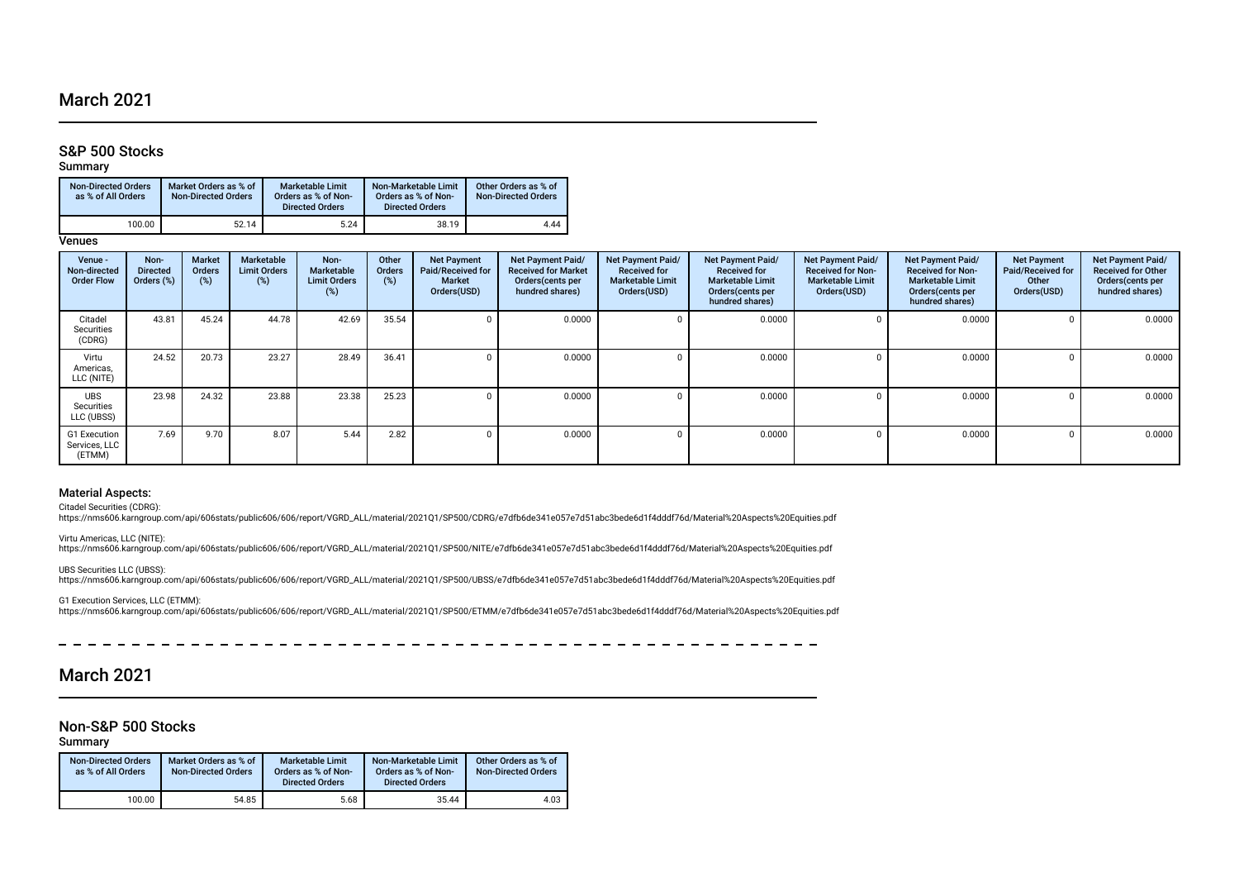# March 2021

# S&P 500 Stocks

#### Summary

| <b>Non-Directed Orders</b><br>as % of All Orders | Market Orders as % of<br><b>Non-Directed Orders</b> | Marketable Limit<br>Orders as % of Non-<br><b>Directed Orders</b> | Non-Marketable Limit<br>Orders as % of Non-<br><b>Directed Orders</b> | Other Orders as % of<br><b>Non-Directed Orders</b> |
|--------------------------------------------------|-----------------------------------------------------|-------------------------------------------------------------------|-----------------------------------------------------------------------|----------------------------------------------------|
| 100.00                                           | 52.14                                               | 5.24                                                              | 38.19                                                                 | 4.44                                               |

**Venues** 

| Venue -<br>Non-directed<br><b>Order Flow</b> | Non-<br><b>Directed</b><br>Orders (%) | <b>Market</b><br>Orders<br>(%) | Marketable<br><b>Limit Orders</b><br>(%) | Non-<br><b>Marketable</b><br><b>Limit Orders</b><br>$(\%)$ | Other<br>Orders<br>(%) | <b>Net Payment</b><br>Paid/Received for<br><b>Market</b><br>Orders(USD) | Net Payment Paid/<br><b>Received for Market</b><br>Orders(cents per<br>hundred shares) | <b>Net Payment Paid/</b><br><b>Received for</b><br><b>Marketable Limit</b><br>Orders(USD) | Net Payment Paid/<br><b>Received for</b><br><b>Marketable Limit</b><br>Orders(cents per<br>hundred shares) | <b>Net Payment Paid/</b><br><b>Received for Non-</b><br><b>Marketable Limit</b><br>Orders(USD) | Net Payment Paid/<br><b>Received for Non-</b><br><b>Marketable Limit</b><br>Orders (cents per<br>hundred shares) | <b>Net Payment</b><br>Paid/Received for<br>Other<br>Orders(USD) | Net Payment Paid/<br><b>Received for Other</b><br>Orders (cents per<br>hundred shares) |
|----------------------------------------------|---------------------------------------|--------------------------------|------------------------------------------|------------------------------------------------------------|------------------------|-------------------------------------------------------------------------|----------------------------------------------------------------------------------------|-------------------------------------------------------------------------------------------|------------------------------------------------------------------------------------------------------------|------------------------------------------------------------------------------------------------|------------------------------------------------------------------------------------------------------------------|-----------------------------------------------------------------|----------------------------------------------------------------------------------------|
| Citadel<br>Securities<br>(CDRG)              | 43.81                                 | 45.24                          | 44.78                                    | 42.69                                                      | 35.54                  |                                                                         | 0.0000                                                                                 |                                                                                           | 0.0000                                                                                                     |                                                                                                | 0.0000                                                                                                           |                                                                 | 0.0000                                                                                 |
| Virtu<br>Americas,<br>LLC (NITE)             | 24.52                                 | 20.73                          | 23.27                                    | 28.49                                                      | 36.41                  |                                                                         | 0.0000                                                                                 |                                                                                           | 0.0000                                                                                                     |                                                                                                | 0.0000                                                                                                           |                                                                 | 0.0000                                                                                 |
| <b>UBS</b><br>Securities<br>LLC (UBSS)       | 23.98                                 | 24.32                          | 23.88                                    | 23.38                                                      | 25.23                  |                                                                         | 0.0000                                                                                 |                                                                                           | 0.0000                                                                                                     |                                                                                                | 0.0000                                                                                                           |                                                                 | 0.0000                                                                                 |
| G1 Execution<br>Services, LLC<br>(ETMM)      | 7.69                                  | 9.70                           | 8.07                                     | 5.44                                                       | 2.82                   |                                                                         | 0.0000                                                                                 |                                                                                           | 0.0000                                                                                                     |                                                                                                | 0.0000                                                                                                           |                                                                 | 0.0000                                                                                 |

### Material Aspects:

Citadel Securities (CDRG):

https://nms606.karngroup.com/api/606stats/public606/606/report/VGRD\_ALL/material/2021Q1/SP500/CDRG/e7dfb6de341e057e7d51abc3bede6d1f4dddf76d/Material%20Aspects%20Equities.pdf

Virtu Americas, LLC (NITE):<br>https://nms606.karngroup.com/api/606stats/public606/606/report/VGRD\_ALL/material/2021Q1/SP500/NITE/e7dfb6de341e057e7d51abc3bede6d1f4dddf76d/Material%20Aspects%20Equities.pdf

UBS Securities LLC (UBSS): https://nms606.karngroup.com/api/606stats/public606/606/report/VGRD\_ALL/material/2021Q1/SP500/UBSS/e7dfb6de341e057e7d51abc3bede6d1f4dddf76d/Material%20Aspects%20Equities.pdf

G1 Execution Services, LLC (ETMM): https://nms606.karngroup.com/api/606stats/public606/606/report/VGRD\_ALL/material/2021Q1/SP500/ETMM/e7dfb6de341e057e7d51abc3bede6d1f4dddf76d/Material%20Aspects%20Equities.pdf

 $\frac{1}{2}$  and  $\frac{1}{2}$  and  $\frac{1}{2}$  and  $\frac{1}{2}$ 

 $\equiv$ 

 $\sim$ 

 $\sim$   $-$ 

# March 2021

### Non-S&P 500 Stocks

### Summary

| <b>Non-Directed Orders</b><br>as % of All Orders | Market Orders as % of<br><b>Non-Directed Orders</b> | <b>Marketable Limit</b><br>Orders as % of Non-<br><b>Directed Orders</b> | Non-Marketable Limit<br>Orders as % of Non-<br><b>Directed Orders</b> | Other Orders as % of<br><b>Non-Directed Orders</b> |
|--------------------------------------------------|-----------------------------------------------------|--------------------------------------------------------------------------|-----------------------------------------------------------------------|----------------------------------------------------|
| 100.00                                           | 54.85                                               | 5.68                                                                     | 35.44                                                                 | 4.03                                               |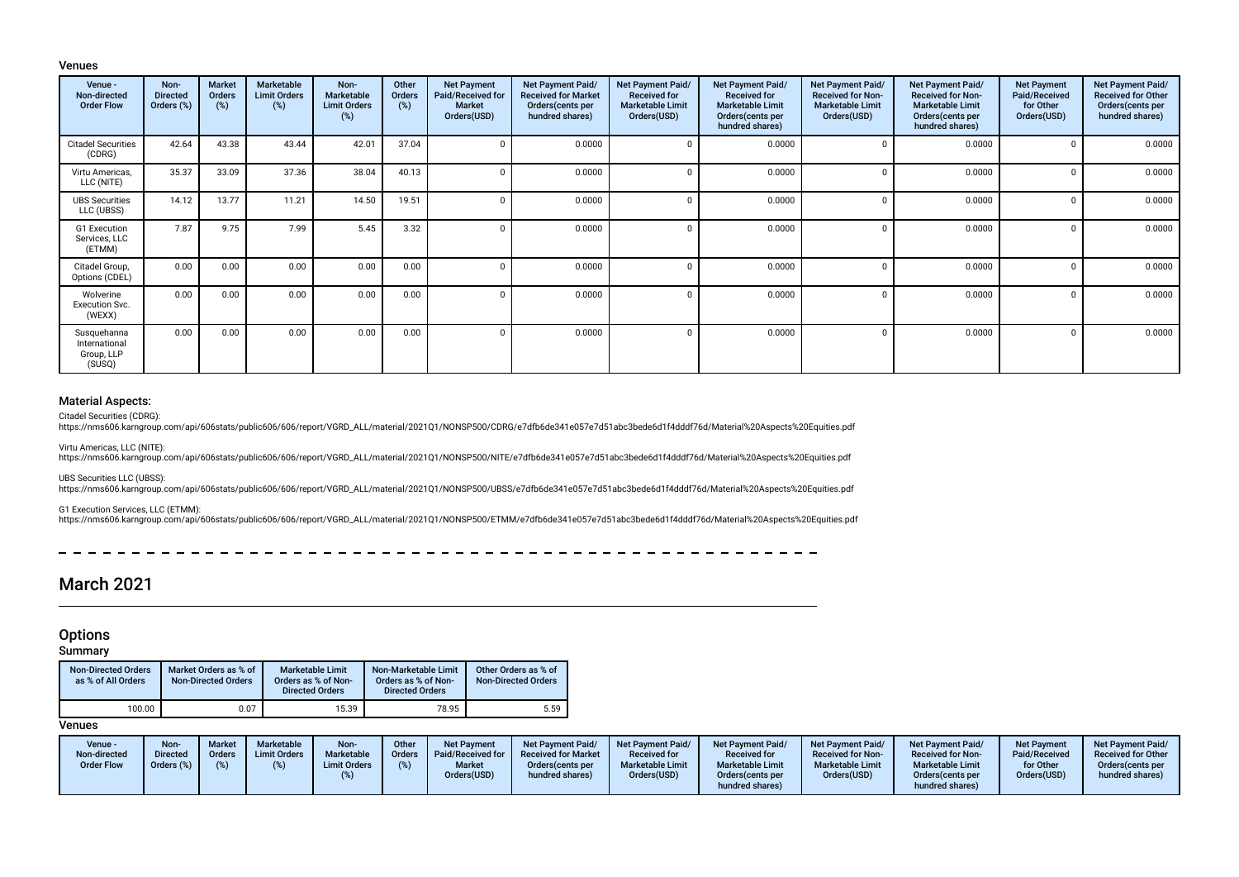#### Venues

| Venue -<br>Non-directed<br><b>Order Flow</b>         | Non-<br><b>Directed</b><br>Orders (%) | <b>Market</b><br>Orders<br>$(\%)$ | Marketable<br><b>Limit Orders</b><br>(%) | Non-<br><b>Marketable</b><br><b>Limit Orders</b><br>(%) | Other<br>Orders<br>(%) | <b>Net Payment</b><br>Paid/Received for<br><b>Market</b><br>Orders(USD) | Net Payment Paid/<br><b>Received for Market</b><br>Orders(cents per<br>hundred shares) | Net Payment Paid/<br><b>Received for</b><br><b>Marketable Limit</b><br>Orders(USD) | Net Payment Paid/<br><b>Received for</b><br><b>Marketable Limit</b><br>Orders (cents per<br>hundred shares) | Net Payment Paid/<br><b>Received for Non-</b><br><b>Marketable Limit</b><br>Orders(USD) | Net Payment Paid/<br><b>Received for Non-</b><br><b>Marketable Limit</b><br>Orders (cents per<br>hundred shares) | <b>Net Payment</b><br>Paid/Received<br>for Other<br>Orders(USD) | Net Payment Paid/<br><b>Received for Other</b><br>Orders(cents per<br>hundred shares) |
|------------------------------------------------------|---------------------------------------|-----------------------------------|------------------------------------------|---------------------------------------------------------|------------------------|-------------------------------------------------------------------------|----------------------------------------------------------------------------------------|------------------------------------------------------------------------------------|-------------------------------------------------------------------------------------------------------------|-----------------------------------------------------------------------------------------|------------------------------------------------------------------------------------------------------------------|-----------------------------------------------------------------|---------------------------------------------------------------------------------------|
| <b>Citadel Securities</b><br>(CDRG)                  | 42.64                                 | 43.38                             | 43.44                                    | 42.01                                                   | 37.04                  |                                                                         | 0.0000                                                                                 | $\Omega$                                                                           | 0.0000                                                                                                      | $\Omega$                                                                                | 0.0000                                                                                                           |                                                                 | 0.0000                                                                                |
| Virtu Americas,<br>LLC (NITE)                        | 35.37                                 | 33.09                             | 37.36                                    | 38.04                                                   | 40.13                  |                                                                         | 0.0000                                                                                 | $\Omega$                                                                           | 0.0000                                                                                                      | $\Omega$                                                                                | 0.0000                                                                                                           |                                                                 | 0.0000                                                                                |
| <b>UBS Securities</b><br>LLC (UBSS)                  | 14.12                                 | 13.77                             | 11.21                                    | 14.50                                                   | 19.51                  |                                                                         | 0.0000                                                                                 | $\Omega$                                                                           | 0.0000                                                                                                      | $\mathbf 0$                                                                             | 0.0000                                                                                                           |                                                                 | 0.0000                                                                                |
| G1 Execution<br>Services, LLC<br>(ETMM)              | 7.87                                  | 9.75                              | 7.99                                     | 5.45                                                    | 3.32                   |                                                                         | 0.0000                                                                                 | $\Omega$                                                                           | 0.0000                                                                                                      | $\Omega$                                                                                | 0.0000                                                                                                           |                                                                 | 0.0000                                                                                |
| Citadel Group,<br>Options (CDEL)                     | 0.00                                  | 0.00                              | 0.00                                     | 0.00                                                    | 0.00                   |                                                                         | 0.0000                                                                                 | $\Omega$                                                                           | 0.0000                                                                                                      | $\Omega$                                                                                | 0.0000                                                                                                           |                                                                 | 0.0000                                                                                |
| Wolverine<br>Execution Svc.<br>(WEXX)                | 0.00                                  | 0.00                              | 0.00                                     | 0.00                                                    | 0.00                   |                                                                         | 0.0000                                                                                 | $\Omega$                                                                           | 0.0000                                                                                                      | $\Omega$                                                                                | 0.0000                                                                                                           |                                                                 | 0.0000                                                                                |
| Susquehanna<br>International<br>Group, LLP<br>(SUSQ) | 0.00                                  | 0.00                              | 0.00                                     | 0.00                                                    | 0.00                   |                                                                         | 0.0000                                                                                 | $\Omega$                                                                           | 0.0000                                                                                                      | $\Omega$                                                                                | 0.0000                                                                                                           |                                                                 | 0.0000                                                                                |

### Material Aspects:

Citadel Securities (CDRG):

https://nms606.karngroup.com/api/606stats/public606/606/report/VGRD\_ALL/material/2021Q1/NONSP500/CDRG/e7dfb6de341e057e7d51abc3bede6d1f4dddf76d/Material%20Aspects%20Equities.pdf

Virtu Americas, LLC (NITE): https://nms606.karngroup.com/api/606stats/public606/606/report/VGRD\_ALL/material/2021Q1/NONSP500/NITE/e7dfb6de341e057e7d51abc3bede6d1f4dddf76d/Material%20Aspects%20Equities.pdf

UBS Securities LLC (UBSS):

https://nms606.karngroup.com/api/606stats/public606/606/report/VGRD\_ALL/material/2021Q1/NONSP500/UBSS/e7dfb6de341e057e7d51abc3bede6d1f4dddf76d/Material%20Aspects%20Equities.pdf

G1 Execution Services, LLC (ETMM):

https://nms606.karngroup.com/api/606stats/public606/606/report/VGRD\_ALL/material/2021Q1/NONSP500/ETMM/e7dfb6de341e057e7d51abc3bede6d1f4dddf76d/Material%20Aspects%20Equities.pdf

 $-$ 

# March 2021

# **Options**

## Summary

| <b>Non-Directed Orders</b><br>as % of All Orders | Market Orders as % of<br><b>Non-Directed Orders</b> | <b>Marketable Limit</b><br>Orders as % of Non-<br><b>Directed Orders</b> | Non-Marketable Limit<br>Orders as % of Non-<br><b>Directed Orders</b> | Other Orders as % of<br><b>Non-Directed Orders</b> |
|--------------------------------------------------|-----------------------------------------------------|--------------------------------------------------------------------------|-----------------------------------------------------------------------|----------------------------------------------------|
| 100.00                                           | 0.07                                                | 15.39                                                                    | 78.95                                                                 | 5.59                                               |

### Venues

| Venue -<br>Non-directed<br><b>Order Flow</b> | Non-<br>Directed<br>Orders $(\%)$ | <b>Market</b><br><b>Orders</b><br>(%) | Marketable<br><b>Limit Orders</b> | Non-<br>Marketable<br><b>Limit Orders</b> | Other<br><b>Orders</b> | Net Payment<br><b>Paid/Received for</b><br><b>Market</b><br>Orders(USD) | <b>Net Payment Paid/</b><br><b>Received for Market</b><br>Orders (cents per<br>hundred shares) | Net Payment Paid/<br><b>Received for</b><br><b>Marketable Limit</b><br>Orders(USD) | <b>Net Payment Paid/</b><br><b>Received for</b><br><b>Marketable Limit</b><br>Orders(cents per<br>hundred shares) | <b>Net Payment Paid/</b><br><b>Received for Non-</b><br><b>Marketable Limit</b><br>Orders(USD) | <b>Net Payment Paid/</b><br><b>Received for Non-</b><br><b>Marketable Limit</b><br>Orders (cents per<br>hundred shares) | Net Payment<br>Paid/Received<br>for Other<br>Orders(USD) | <b>Net Payment Paid/</b><br><b>Received for Other</b><br>Orders (cents per<br>hundred shares) |
|----------------------------------------------|-----------------------------------|---------------------------------------|-----------------------------------|-------------------------------------------|------------------------|-------------------------------------------------------------------------|------------------------------------------------------------------------------------------------|------------------------------------------------------------------------------------|-------------------------------------------------------------------------------------------------------------------|------------------------------------------------------------------------------------------------|-------------------------------------------------------------------------------------------------------------------------|----------------------------------------------------------|-----------------------------------------------------------------------------------------------|
|----------------------------------------------|-----------------------------------|---------------------------------------|-----------------------------------|-------------------------------------------|------------------------|-------------------------------------------------------------------------|------------------------------------------------------------------------------------------------|------------------------------------------------------------------------------------|-------------------------------------------------------------------------------------------------------------------|------------------------------------------------------------------------------------------------|-------------------------------------------------------------------------------------------------------------------------|----------------------------------------------------------|-----------------------------------------------------------------------------------------------|